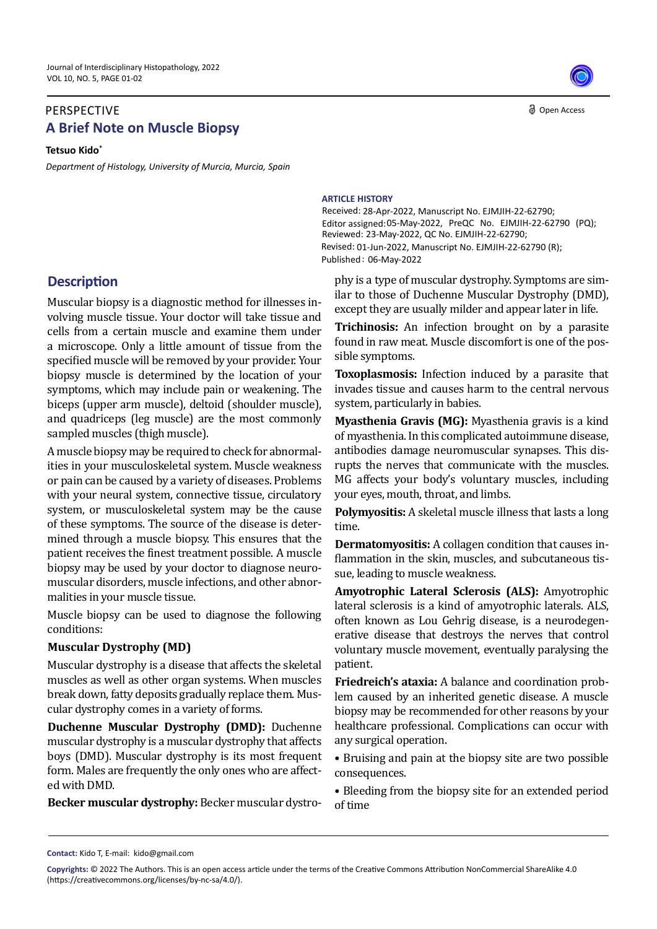## **A Brief Note on Muscle Biopsy** PERSPECTIVE

**Tetsuo Kido\***

*Department of Histology, University of Murcia, Murcia, Spain* 

## **Description**

Muscular biopsy is a diagnostic method for illnesses involving muscle tissue. Your doctor will take tissue and cells from a certain muscle and examine them under a microscope. Only a little amount of tissue from the specified muscle will be removed by your provider. Your biopsy muscle is determined by the location of your symptoms, which may include pain or weakening. The biceps (upper arm muscle), deltoid (shoulder muscle), and quadriceps (leg muscle) are the most commonly sampled muscles (thigh muscle).

A muscle biopsy may be required to check for abnormalities in your musculoskeletal system. Muscle weakness or pain can be caused by a variety of diseases. Problems with your neural system, connective tissue, circulatory system, or musculoskeletal system may be the cause of these symptoms. The source of the disease is determined through a muscle biopsy. This ensures that the patient receives the finest treatment possible. A muscle biopsy may be used by your doctor to diagnose neuromuscular disorders, muscle infections, and other abnormalities in your muscle tissue.

Muscle biopsy can be used to diagnose the following conditions:

## **Muscular Dystrophy (MD)**

Muscular dystrophy is a disease that affects the skeletal muscles as well as other organ systems. When muscles break down, fatty deposits gradually replace them. Muscular dystrophy comes in a variety of forms.

**Duchenne Muscular Dystrophy (DMD):** Duchenne muscular dystrophy is a muscular dystrophy that affects boys (DMD). Muscular dystrophy is its most frequent form. Males are frequently the only ones who are affected with DMD.

**Becker muscular dystrophy:** Becker muscular dystro-

Open Access

## **ARTICLE HISTORY**

Received: 28-Apr-2022, Manuscript No. EJMJIH-22-62790; Editor assigned: 05-May-2022, PreQC No. EJMJIH-22-62790 (PQ); Reviewed: 23-May-2022, QC No. EJMJIH-22-62790; Revised: 01-Jun-2022, Manuscript No. EJMJIH-22-62790 (R); Published: 06-May-2022

phy is a type of muscular dystrophy. Symptoms are similar to those of Duchenne Muscular Dystrophy (DMD), except they are usually milder and appear later in life.

**Trichinosis:** An infection brought on by a parasite found in raw meat. Muscle discomfort is one of the possible symptoms.

**Toxoplasmosis:** Infection induced by a parasite that invades tissue and causes harm to the central nervous system, particularly in babies.

**Myasthenia Gravis (MG):** Myasthenia gravis is a kind of myasthenia. In this complicated autoimmune disease, antibodies damage neuromuscular synapses. This disrupts the nerves that communicate with the muscles. MG affects your body's voluntary muscles, including your eyes, mouth, throat, and limbs.

**Polymyositis:** A skeletal muscle illness that lasts a long time.

**Dermatomyositis:** A collagen condition that causes inflammation in the skin, muscles, and subcutaneous tissue, leading to muscle weakness.

**Amyotrophic Lateral Sclerosis (ALS):** Amyotrophic lateral sclerosis is a kind of amyotrophic laterals. ALS, often known as Lou Gehrig disease, is a neurodegenerative disease that destroys the nerves that control voluntary muscle movement, eventually paralysing the patient.

**Friedreich's ataxia:** A balance and coordination problem caused by an inherited genetic disease. A muscle biopsy may be recommended for other reasons by your healthcare professional. Complications can occur with any surgical operation.

• Bruising and pain at the biopsy site are two possible consequences.

• Bleeding from the biopsy site for an extended period of time

**Contact:** Kido T, E-mail: kido@gmail.com

**Copyrights:** © 2022 The Authors. This is an open access article under the terms of the Creative Commons Attribution NonCommercial ShareAlike 4.0 (https://creativecommons.org/licenses/by-nc-sa/4.0/).